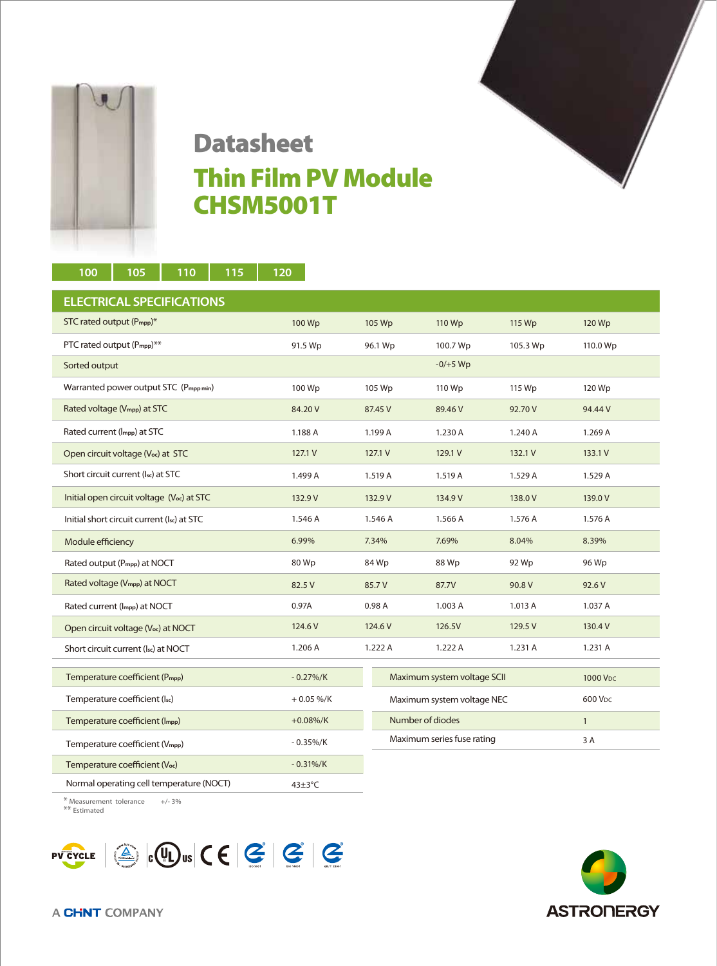

## ×

## Datasheet Thin Film PV Module CHSM5001T

| 100<br>105<br>110<br>115                               | 120                  |         |                             |          |                      |
|--------------------------------------------------------|----------------------|---------|-----------------------------|----------|----------------------|
| <b>ELECTRICAL SPECIFICATIONS</b>                       |                      |         |                             |          |                      |
| STC rated output (P <sub>mpp</sub> )*                  | 100 Wp               | 105 Wp  | 110 Wp                      | 115 Wp   | 120 Wp               |
| PTC rated output (P <sub>mpp</sub> )**                 | 91.5 Wp              | 96.1 Wp | 100.7 Wp                    | 105.3 Wp | 110.0 Wp             |
| Sorted output                                          |                      |         | $-0/+5$ Wp                  |          |                      |
| Warranted power output STC (Pmpp min)                  | 100 Wp               | 105 Wp  | 110 Wp                      | 115 Wp   | 120 Wp               |
| Rated voltage (V <sub>mpp</sub> ) at STC               | 84.20 V              | 87.45 V | 89.46 V                     | 92.70 V  | 94.44 V              |
| Rated current (Impp) at STC                            | 1.188 A              | 1.199 A | 1.230 A                     | 1.240 A  | 1.269 A              |
| Open circuit voltage (Voc) at STC                      | 127.1 V              | 127.1 V | 129.1 V                     | 132.1 V  | 133.1 V              |
| Short circuit current (Isc) at STC                     | 1.499 A              | 1.519 A | 1.519 A                     | 1.529 A  | 1.529 A              |
| Initial open circuit voltage (V <sub>oc</sub> ) at STC | 132.9 V              | 132.9 V | 134.9 V                     | 138.0 V  | 139.0V               |
| Initial short circuit current (Isc) at STC             | 1.546 A              | 1.546 A | 1.566 A                     | 1.576 A  | 1.576 A              |
| Module efficiency                                      | 6.99%                | 7.34%   | 7.69%                       | 8.04%    | 8.39%                |
| Rated output (P <sub>mpp</sub> ) at NOCT               | 80 Wp                | 84 Wp   | 88 Wp                       | 92 Wp    | 96 Wp                |
| Rated voltage (V <sub>mpp</sub> ) at NOCT              | 82.5 V               | 85.7V   | 87.7V                       | 90.8 V   | 92.6 V               |
| Rated current (Impp) at NOCT                           | 0.97A                | 0.98A   | 1.003 A                     | 1.013 A  | 1.037 A              |
| Open circuit voltage (V <sub>oc</sub> ) at NOCT        | 124.6 V              | 124.6 V | 126.5V                      | 129.5 V  | 130.4 V              |
| Short circuit current (Isc) at NOCT                    | 1.206 A              | 1.222 A | 1.222 A                     | 1.231 A  | 1.231 A              |
| Temperature coefficient (P <sub>mpp</sub> )            | $-0.27\%/K$          |         | Maximum system voltage SCII |          | 1000 V <sub>DC</sub> |
| Temperature coefficient (Isc)                          | $+0.05\%$ /K         |         | Maximum system voltage NEC  |          | 600 V <sub>DC</sub>  |
| Temperature coefficient (Impp)                         | $+0.08\%/K$          |         | Number of diodes            |          | $\mathbf{1}$         |
| Temperature coefficient (V <sub>mpp</sub> )            | $-0.35\%/K$          |         | Maximum series fuse rating  |          | 3 A                  |
| Temperature coefficient (Voc)                          | $-0.31\%/K$          |         |                             |          |                      |
| Normal operating cell temperature (NOCT)               | $43 \pm 3^{\circ}$ C |         |                             |          |                      |
| * Measurement tolerance<br>$+/- 3%$                    |                      |         |                             |          |                      |

\*\* Estimated